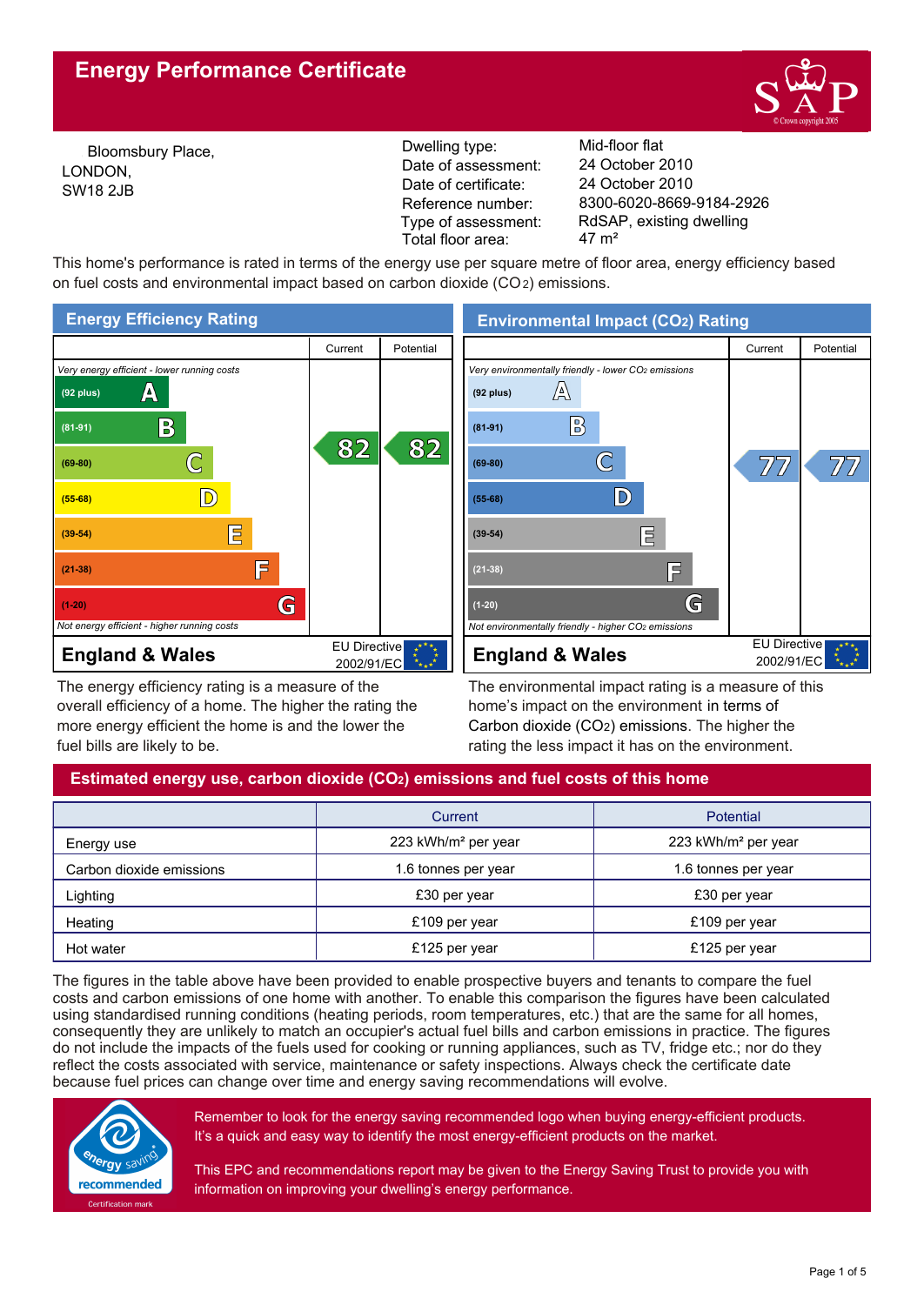# **Energy Performance Certificate**



Bloomsbury Place, LONDON, SW18 2JB

Reference number: Dwelling type: Mid-floor flat Date of certificate: Date of assessment: Type of assessment: Total floor area: 47 m<sup>2</sup>

8300-6020-8669-9184-2926 24 October 2010 24 October 2010 RdSAP, existing dwelling

This home's performance is rated in terms of the energy use per square metre of floor area, energy efficiency based on fuel costs and environmental impact based on carbon dioxide (CO2) emissions.



The energy efficiency rating is a measure of the overall efficiency of a home. The higher the rating the more energy efficient the home is and the lower the fuel bills are likely to be.

The environmental impact rating is a measure of this home's impact on the environment in terms of Carbon dioxide (CO2) emissions. The higher the rating the less impact it has on the environment.

## **Estimated energy use, carbon dioxide (CO2) emissions and fuel costs of this home**

|                          | Current                         | Potential                       |
|--------------------------|---------------------------------|---------------------------------|
| Energy use               | 223 kWh/m <sup>2</sup> per year | 223 kWh/m <sup>2</sup> per year |
| Carbon dioxide emissions | 1.6 tonnes per year             | 1.6 tonnes per year             |
| Lighting                 | £30 per year                    | £30 per year                    |
| Heating                  | £109 per year                   | £109 per year                   |
| Hot water                | £125 per year                   | £125 per year                   |

The figures in the table above have been provided to enable prospective buyers and tenants to compare the fuel costs and carbon emissions of one home with another. To enable this comparison the figures have been calculated using standardised running conditions (heating periods, room temperatures, etc.) that are the same for all homes, consequently they are unlikely to match an occupier's actual fuel bills and carbon emissions in practice. The figures do not include the impacts of the fuels used for cooking or running appliances, such as TV, fridge etc.; nor do they reflect the costs associated with service, maintenance or safety inspections. Always check the certificate date because fuel prices can change over time and energy saving recommendations will evolve.



Remember to look for the energy saving recommended logo when buying energy-efficient products. It's a quick and easy way to identify the most energy-efficient products on the market.

This EPC and recommendations report may be given to the Energy Saving Trust to provide you with information on improving your dwelling's energy performance.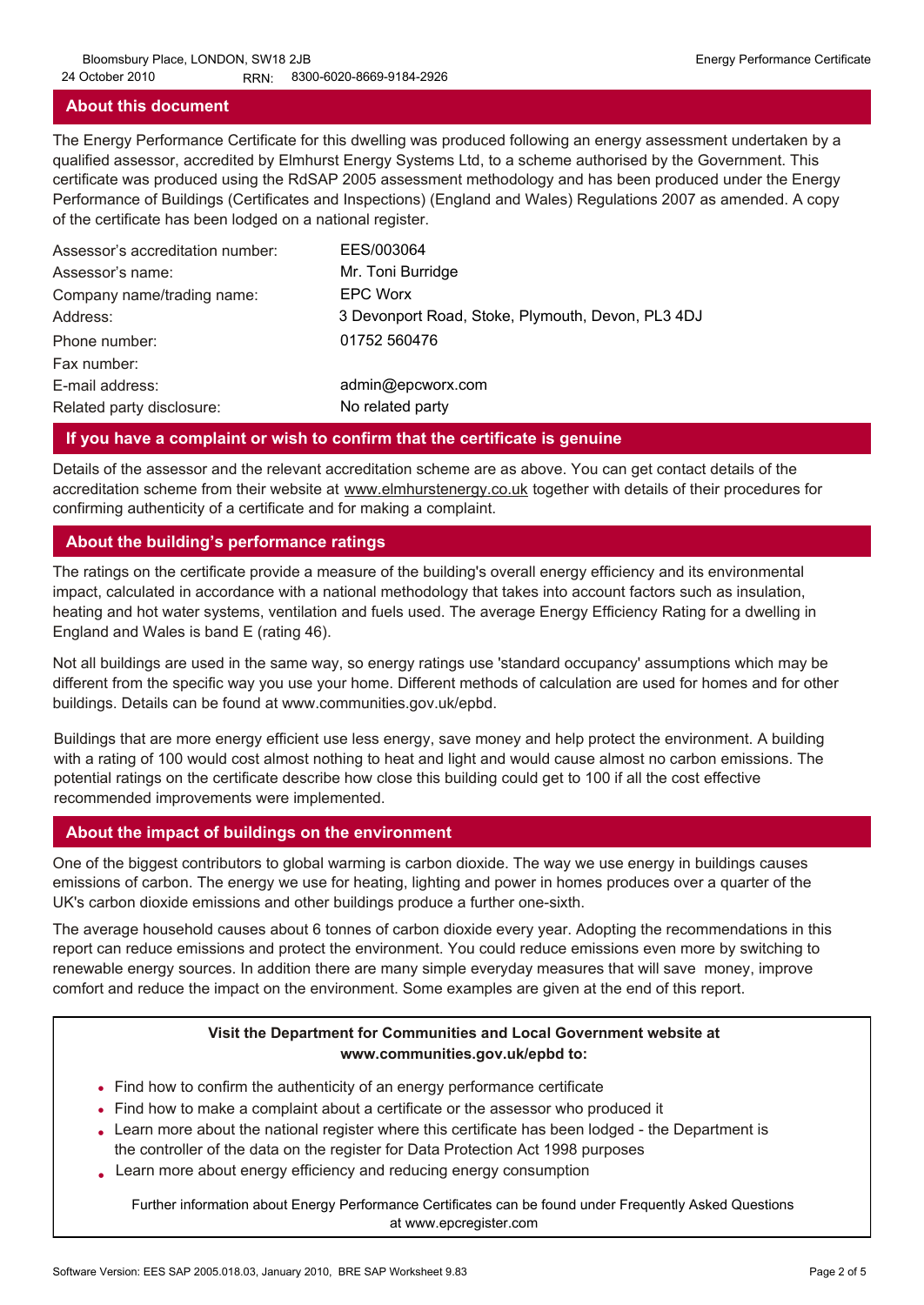### **About this document**

The Energy Performance Certificate for this dwelling was produced following an energy assessment undertaken by a qualified assessor, accredited by Elmhurst Energy Systems Ltd, to a scheme authorised by the Government. This certificate was produced using the RdSAP 2005 assessment methodology and has been produced under the Energy Performance of Buildings (Certificates and Inspections) (England and Wales) Regulations 2007 as amended. A copy of the certificate has been lodged on a national register.

| Assessor's accreditation number: | EES/003064                                        |
|----------------------------------|---------------------------------------------------|
| Assessor's name:                 | Mr. Toni Burridge                                 |
| Company name/trading name:       | <b>EPC Worx</b>                                   |
| Address:                         | 3 Devonport Road, Stoke, Plymouth, Devon, PL3 4DJ |
| Phone number:                    | 01752 560476                                      |
| Fax number:                      |                                                   |
| E-mail address:                  | admin@epcworx.com                                 |
| Related party disclosure:        | No related party                                  |

### **If you have a complaint or wish to confirm that the certificate is genuine**

Details of the assessor and the relevant accreditation scheme are as above. You can get contact details of the accreditation scheme from their website at www.elmhurstenergy.co.uk together with details of their procedures for confirming authenticity of a certificate and for making a complaint.

### **About the building's performance ratings**

The ratings on the certificate provide a measure of the building's overall energy efficiency and its environmental impact, calculated in accordance with a national methodology that takes into account factors such as insulation, heating and hot water systems, ventilation and fuels used. The average Energy Efficiency Rating for a dwelling in England and Wales is band E (rating 46).

Not all buildings are used in the same way, so energy ratings use 'standard occupancy' assumptions which may be different from the specific way you use your home. Different methods of calculation are used for homes and for other buildings. Details can be found at www.communities.gov.uk/epbd.

Buildings that are more energy efficient use less energy, save money and help protect the environment. A building with a rating of 100 would cost almost nothing to heat and light and would cause almost no carbon emissions. The potential ratings on the certificate describe how close this building could get to 100 if all the cost effective recommended improvements were implemented.

## **About the impact of buildings on the environment**

One of the biggest contributors to global warming is carbon dioxide. The way we use energy in buildings causes emissions of carbon. The energy we use for heating, lighting and power in homes produces over a quarter of the UK's carbon dioxide emissions and other buildings produce a further one-sixth.

The average household causes about 6 tonnes of carbon dioxide every year. Adopting the recommendations in this report can reduce emissions and protect the environment. You could reduce emissions even more by switching to renewable energy sources. In addition there are many simple everyday measures that will save money, improve comfort and reduce the impact on the environment. Some examples are given at the end of this report.

## **Visit the Department for Communities and Local Government website at www.communities.gov.uk/epbd to:**

- Find how to confirm the authenticity of an energy performance certificate •
- Find how to make a complaint about a certificate or the assessor who produced it •
- Learn more about the national register where this certificate has been lodged the Department is the controller of the data on the register for Data Protection Act 1998 purposes
- Learn more about energy efficiency and reducing energy consumption •

Further information about Energy Performance Certificates can be found under Frequently Asked Questions at www.epcregister.com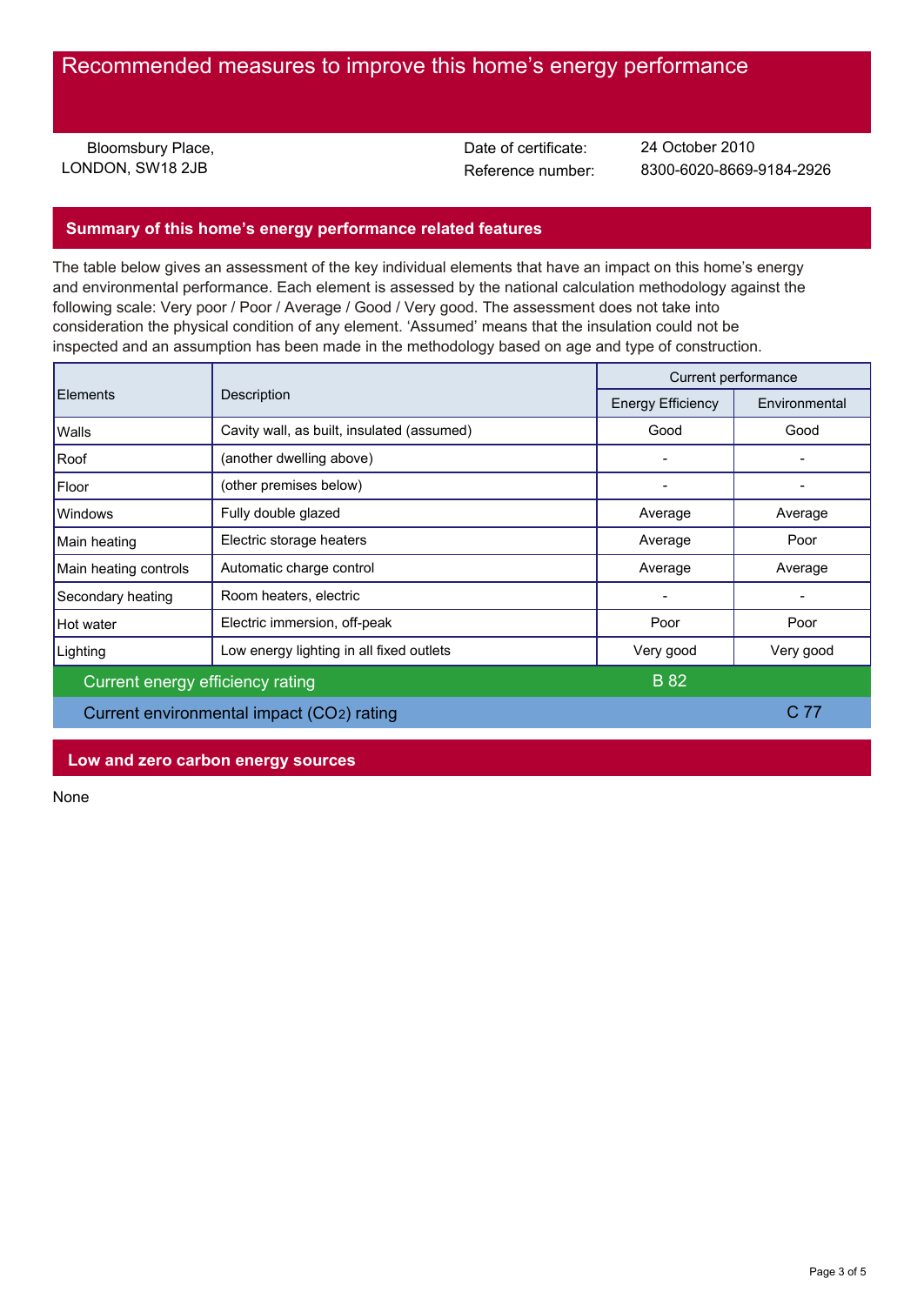## Recommended measures to improve this home's energy performance

Bloomsbury Place. LONDON, SW18 2JB

Date of certificate:

Reference number: 8300-6020-8669-9184-2926 24 October 2010

## **Summary of this home's energy performance related features**

The table below gives an assessment of the key individual elements that have an impact on this home's energy and environmental performance. Each element is assessed by the national calculation methodology against the following scale: Very poor / Poor / Average / Good / Very good. The assessment does not take into consideration the physical condition of any element. 'Assumed' means that the insulation could not be inspected and an assumption has been made in the methodology based on age and type of construction.

| <b>Elements</b>                           | Description                                | Current performance      |               |
|-------------------------------------------|--------------------------------------------|--------------------------|---------------|
|                                           |                                            | <b>Energy Efficiency</b> | Environmental |
| Walls                                     | Cavity wall, as built, insulated (assumed) | Good                     | Good          |
| Roof                                      | (another dwelling above)                   |                          |               |
| Floor                                     | (other premises below)                     | $\qquad \qquad$          |               |
| <b>Windows</b>                            | Fully double glazed                        | Average                  | Average       |
| Main heating                              | Electric storage heaters                   | Average                  | Poor          |
| Main heating controls                     | Automatic charge control                   | Average                  | Average       |
| Secondary heating                         | Room heaters, electric                     |                          |               |
| Hot water                                 | Electric immersion, off-peak               | Poor                     | Poor          |
| Lighting                                  | Low energy lighting in all fixed outlets   | Very good                | Very good     |
| Current energy efficiency rating          |                                            | <b>B</b> 82              |               |
| Current environmental impact (CO2) rating |                                            |                          | C 77          |
|                                           |                                            |                          |               |

### **Low and zero carbon energy sources**

None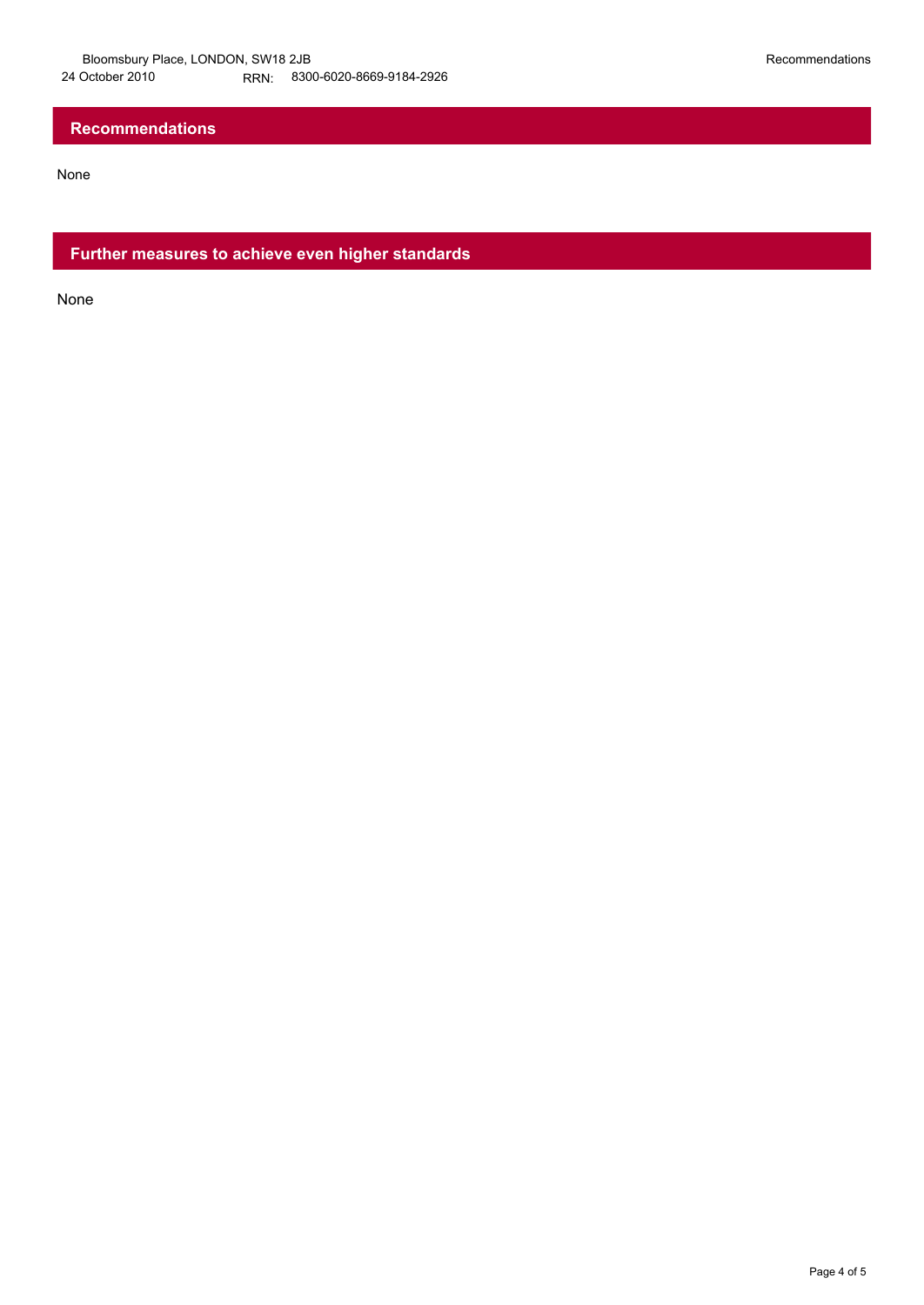## **Recommendations**

None

**Further measures to achieve even higher standards**

None